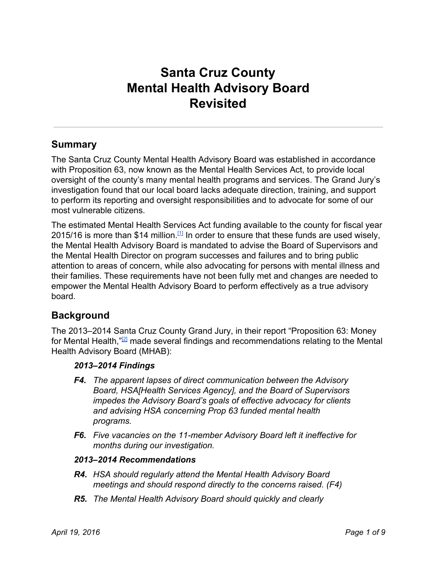# **Santa Cruz County Mental Health Advisory Board Revisited**

### **Summary**

The Santa Cruz County Mental Health Advisory Board was established in accordance with Proposition 63, now known as the Mental Health Services Act, to provide local oversight of the county's many mental health programs and services. The Grand Jury's investigation found that our local board lacks adequate direction, training, and support to perform its reporting and oversight responsibilities and to advocate for some of our most vulnerable citizens.

The estimated Mental Health Services Act funding available to the county for fiscal year 2015/16 is more than \$14 million.  $11$  In order to ensure that these funds are used wisely, the Mental Health Advisory Board is mandated to advise the Board of Supervisors and the Mental Health Director on program successes and failures and to bring public attention to areas of concern, while also advocating for persons with mental illness and their families. These requirements have not been fully met and changes are needed to empower the Mental Health Advisory Board to perform effectively as a true advisory board.

### **Background**

The 2013–2014 Santa Cruz County Grand Jury, in their report "Proposition 63: Money for Mental Health,"<sup>[\[2\]](http://www.co.santa-cruz.ca.us/Portals/0/County/GrandJury/GJ2014_final/Prop63_Money_for_Mental_Health.pdf)</sup> made several findings and recommendations relating to the Mental Health Advisory Board (MHAB):

#### *2013–2014 Findings*

- *F4. The apparent lapses of direct communication between the Advisory Board, HSA[Health Services Agency], and the Board of Supervisors impedes the Advisory Board's goals of effective advocacy for clients and advising HSA concerning Prop 63 funded mental health programs.*
- *F6. Five vacancies on the 11member Advisory Board left it ineffective for months during our investigation.*

#### *2013–2014 Recommendations*

- *R4. HSA should regularly attend the Mental Health Advisory Board meetings and should respond directly to the concerns raised. (F4)*
- *R5. The Mental Health Advisory Board should quickly and clearly*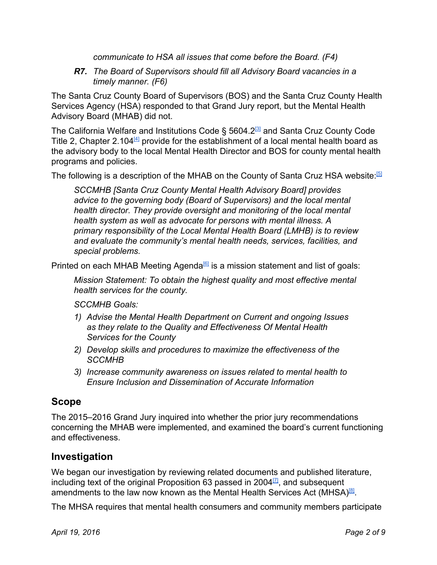*communicate to HSA all issues that come before the Board. (F4)*

*R7. The Board of Supervisors should fill all Advisory Board vacancies in a timely manner. (F6)*

The Santa Cruz County Board of Supervisors (BOS) and the Santa Cruz County Health Services Agency (HSA) responded to that Grand Jury report, but the Mental Health Advisory Board (MHAB) did not.

The California Welfare and Institutions Code § 5604.2<sup>3</sup> and Santa Cruz County Code Title 2, Chapter 2.104 $4$  provide for the establishment of a local mental health board as the advisory body to the local Mental Health Director and BOS for county mental health programs and policies.

The following is a description of the MHAB on the County of Santa Cruz HSA website.<sup>[\[5\]](http://www.santacruzhealth.org/HSAHome/HSADivisions/BehavioralHealth/MentalHealthAdvisoryBoard.aspx)</sup>

*SCCMHB [Santa Cruz County Mental Health Advisory Board] provides advice to the governing body (Board of Supervisors) and the local mental health director. They provide oversight and monitoring of the local mental health system as well as advocate for persons with mental illness. A primary responsibility of the Local Mental Health Board (LMHB) is to review and evaluate the community's mental health needs, services, facilities, and special problems.*

Printed on each MHAB Meeting Agenda<sup>®</sup> is a mission statement and list of goals:

*Mission Statement: To obtain the highest quality and most effective mental health services for the county.*

*SCCMHB Goals:*

- *1) Advise the Mental Health Department on Current and ongoing Issues as they relate to the Quality and Effectiveness Of Mental Health Services for the County*
- *2) Develop skills and procedures to maximize the effectiveness of the SCCMHB*
- *3) Increase community awareness on issues related to mental health to Ensure Inclusion and Dissemination of Accurate Information*

### **Scope**

The 2015–2016 Grand Jury inquired into whether the prior jury recommendations concerning the MHAB were implemented, and examined the board's current functioning and effectiveness.

### **Investigation**

We began our investigation by reviewing related documents and published literature, including text of the original Proposition 63 passed in 2004 $\mathbb{Z}$ , and subsequent amendments to the law now known as the Mental Health Services Act (MHSA)<sup>[\[8\]](http://www.mhsoac.ca.gov/docs/MHSA_AsAmendedIn2012_AB1467AndOthers_010813.pdf)</sup>.

The MHSA requires that mental health consumers and community members participate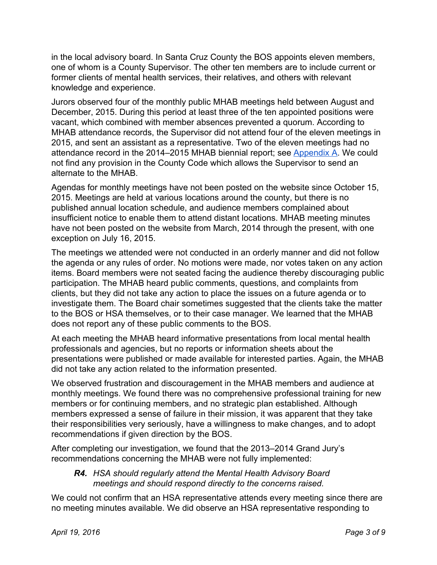in the local advisory board. In Santa Cruz County the BOS appoints eleven members, one of whom is a County Supervisor. The other ten members are to include current or former clients of mental health services, their relatives, and others with relevant knowledge and experience.

Jurors observed four of the monthly public MHAB meetings held between August and December, 2015. During this period at least three of the ten appointed positions were vacant, which combined with member absences prevented a quorum. According to MHAB attendance records, the Supervisor did not attend four of the eleven meetings in 2015, and sent an assistant as a representative. Two of the eleven meetings had no attendance record in the 2014–2015 MHAB biennial report; see [Appendix](#page-8-0) A. We could not find any provision in the County Code which allows the Supervisor to send an alternate to the MHAB.

Agendas for monthly meetings have not been posted on the website since October 15, 2015. Meetings are held at various locations around the county, but there is no published annual location schedule, and audience members complained about insufficient notice to enable them to attend distant locations. MHAB meeting minutes have not been posted on the website from March, 2014 through the present, with one exception on July 16, 2015.

The meetings we attended were not conducted in an orderly manner and did not follow the agenda or any rules of order. No motions were made, nor votes taken on any action items. Board members were not seated facing the audience thereby discouraging public participation. The MHAB heard public comments, questions, and complaints from clients, but they did not take any action to place the issues on a future agenda or to investigate them. The Board chair sometimes suggested that the clients take the matter to the BOS or HSA themselves, or to their case manager. We learned that the MHAB does not report any of these public comments to the BOS.

At each meeting the MHAB heard informative presentations from local mental health professionals and agencies, but no reports or information sheets about the presentations were published or made available for interested parties. Again, the MHAB did not take any action related to the information presented.

We observed frustration and discouragement in the MHAB members and audience at monthly meetings. We found there was no comprehensive professional training for new members or for continuing members, and no strategic plan established. Although members expressed a sense of failure in their mission, it was apparent that they take their responsibilities very seriously, have a willingness to make changes, and to adopt recommendations if given direction by the BOS.

After completing our investigation, we found that the 2013–2014 Grand Jury's recommendations concerning the MHAB were not fully implemented:

#### *R4. HSA should regularly attend the Mental Health Advisory Board meetings and should respond directly to the concerns raised.*

We could not confirm that an HSA representative attends every meeting since there are no meeting minutes available. We did observe an HSA representative responding to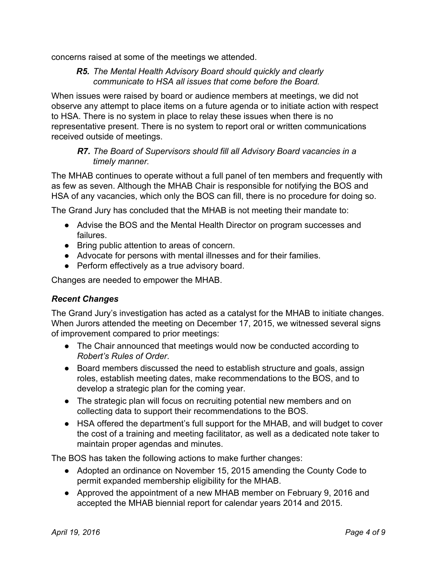concerns raised at some of the meetings we attended.

#### *R5. The Mental Health Advisory Board should quickly and clearly communicate to HSA all issues that come before the Board.*

When issues were raised by board or audience members at meetings, we did not observe any attempt to place items on a future agenda or to initiate action with respect to HSA. There is no system in place to relay these issues when there is no representative present. There is no system to report oral or written communications received outside of meetings.

#### *R7. The Board of Supervisors should fill all Advisory Board vacancies in a timely manner.*

The MHAB continues to operate without a full panel of ten members and frequently with as few as seven. Although the MHAB Chair is responsible for notifying the BOS and HSA of any vacancies, which only the BOS can fill, there is no procedure for doing so.

The Grand Jury has concluded that the MHAB is not meeting their mandate to:

- Advise the BOS and the Mental Health Director on program successes and failures.
- Bring public attention to areas of concern.
- Advocate for persons with mental illnesses and for their families.
- Perform effectively as a true advisory board.

Changes are needed to empower the MHAB.

#### *Recent Changes*

The Grand Jury's investigation has acted as a catalyst for the MHAB to initiate changes. When Jurors attended the meeting on December 17, 2015, we witnessed several signs of improvement compared to prior meetings:

- The Chair announced that meetings would now be conducted according to *Robert's Rules of Order*.
- Board members discussed the need to establish structure and goals, assign roles, establish meeting dates, make recommendations to the BOS, and to develop a strategic plan for the coming year.
- The strategic plan will focus on recruiting potential new members and on collecting data to support their recommendations to the BOS.
- HSA offered the department's full support for the MHAB, and will budget to cover the cost of a training and meeting facilitator, as well as a dedicated note taker to maintain proper agendas and minutes.

The BOS has taken the following actions to make further changes:

- Adopted an ordinance on November 15, 2015 amending the County Code to permit expanded membership eligibility for the MHAB.
- Approved the appointment of a new MHAB member on February 9, 2016 and accepted the MHAB biennial report for calendar years 2014 and 2015.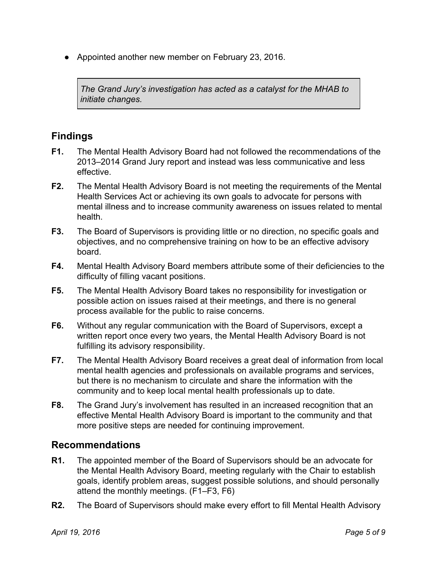● Appointed another new member on February 23, 2016.

*The Grand Jury's investigation has acted as a catalyst for the MHAB to initiate changes.*

# **Findings**

- **F1.** The Mental Health Advisory Board had not followed the recommendations of the 2013–2014 Grand Jury report and instead was less communicative and less effective.
- **F2.** The Mental Health Advisory Board is not meeting the requirements of the Mental Health Services Act or achieving its own goals to advocate for persons with mental illness and to increase community awareness on issues related to mental health.
- **F3.** The Board of Supervisors is providing little or no direction, no specific goals and objectives, and no comprehensive training on how to be an effective advisory board.
- **F4.** Mental Health Advisory Board members attribute some of their deficiencies to the difficulty of filling vacant positions.
- **F5.** The Mental Health Advisory Board takes no responsibility for investigation or possible action on issues raised at their meetings, and there is no general process available for the public to raise concerns.
- **F6.** Without any regular communication with the Board of Supervisors, except a written report once every two years, the Mental Health Advisory Board is not fulfilling its advisory responsibility.
- **F7.** The Mental Health Advisory Board receives a great deal of information from local mental health agencies and professionals on available programs and services, but there is no mechanism to circulate and share the information with the community and to keep local mental health professionals up to date.
- **F8.** The Grand Jury's involvement has resulted in an increased recognition that an effective Mental Health Advisory Board is important to the community and that more positive steps are needed for continuing improvement.

### **Recommendations**

- **R1.** The appointed member of the Board of Supervisors should be an advocate for the Mental Health Advisory Board, meeting regularly with the Chair to establish goals, identify problem areas, suggest possible solutions, and should personally attend the monthly meetings. (F1–F3, F6)
- **R2.** The Board of Supervisors should make every effort to fill Mental Health Advisory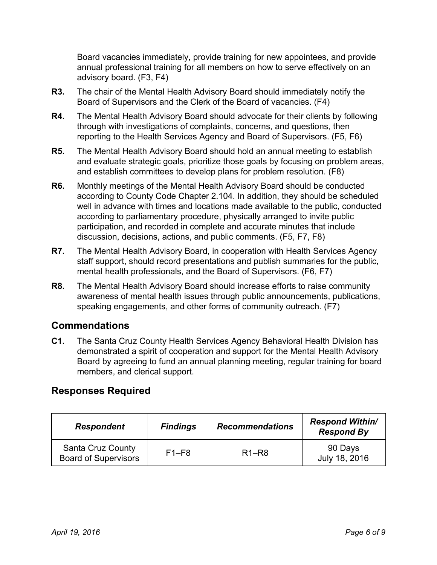Board vacancies immediately, provide training for new appointees, and provide annual professional training for all members on how to serve effectively on an advisory board. (F3, F4)

- **R3.** The chair of the Mental Health Advisory Board should immediately notify the Board of Supervisors and the Clerk of the Board of vacancies. (F4)
- **R4.** The Mental Health Advisory Board should advocate for their clients by following through with investigations of complaints, concerns, and questions, then reporting to the Health Services Agency and Board of Supervisors. (F5, F6)
- **R5.** The Mental Health Advisory Board should hold an annual meeting to establish and evaluate strategic goals, prioritize those goals by focusing on problem areas, and establish committees to develop plans for problem resolution. (F8)
- **R6.** Monthly meetings of the Mental Health Advisory Board should be conducted according to County Code Chapter 2.104. In addition, they should be scheduled well in advance with times and locations made available to the public, conducted according to parliamentary procedure, physically arranged to invite public participation, and recorded in complete and accurate minutes that include discussion, decisions, actions, and public comments. (F5, F7, F8)
- **R7.** The Mental Health Advisory Board, in cooperation with Health Services Agency staff support, should record presentations and publish summaries for the public, mental health professionals, and the Board of Supervisors. (F6, F7)
- **R8.** The Mental Health Advisory Board should increase efforts to raise community awareness of mental health issues through public announcements, publications, speaking engagements, and other forms of community outreach. (F7)

### **Commendations**

**C1.** The Santa Cruz County Health Services Agency Behavioral Health Division has demonstrated a spirit of cooperation and support for the Mental Health Advisory Board by agreeing to fund an annual planning meeting, regular training for board members, and clerical support.

### **Responses Required**

| <b>Respondent</b>                                       | <b>Findings</b> | <b>Recommendations</b> | <b>Respond Within/</b><br><b>Respond By</b> |  |  |
|---------------------------------------------------------|-----------------|------------------------|---------------------------------------------|--|--|
| <b>Santa Cruz County</b><br><b>Board of Supervisors</b> | $F1-F8$         | $R1-R8$                | 90 Days<br>July 18, 2016                    |  |  |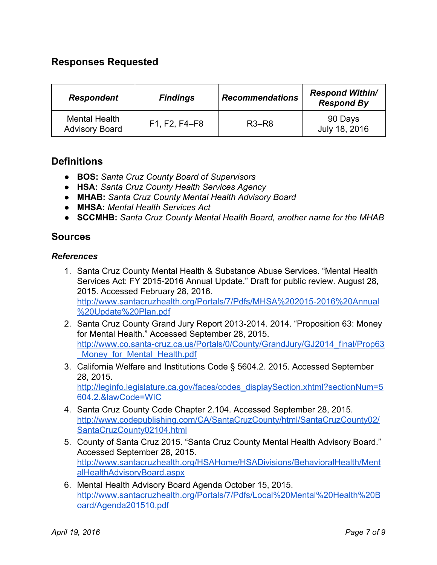## **Responses Requested**

| <b>Respondent</b>                             | <b>Findings</b> | <b>Recommendations</b> | <b>Respond Within/</b><br><b>Respond By</b> |  |  |
|-----------------------------------------------|-----------------|------------------------|---------------------------------------------|--|--|
| <b>Mental Health</b><br><b>Advisory Board</b> | F1, F2, F4–F8   | $R3-R8$                | 90 Days<br>July 18, 2016                    |  |  |

#### **Definitions**

- **BOS:***Santa Cruz County Board of Supervisors*
- **HSA:***Santa Cruz County Health Services Agency*
- *●* **MHAB:***Santa Cruz County Mental Health Advisory Board*
- **MHSA:***Mental Health Services Act*
- **● SCCMHB:** *Santa Cruz County Mental Health Board, another name for the MHAB*

#### **Sources**

#### *References*

- 1. Santa Cruz County Mental Health & Substance Abuse Services. "Mental Health Services Act: FY 2015-2016 Annual Update." Draft for public review. August 28, 2015. Accessed February 28, 2016. http://www.santacruzhealth.org/Portals/7/Pdfs/MHSA%202015-2016%20Annual [%20Update%20Plan.pdf](http://www.santacruzhealth.org/Portals/7/Pdfs/MHSA%202015-2016%20Annual%20Update%20Plan.pdf)
- 2. Santa Cruz County Grand Jury Report 2013-2014. 2014. "Proposition 63: Money for Mental Health." Accessed September 28, 2015. http://www.co.santa-cruz.ca.us/Portals/0/County/GrandJury/GJ2014\_final/Prop63 Money for Mental Health.pdf
- 3. California Welfare and Institutions Code § 5604.2. 2015. Accessed September 28, 2015. [http://leginfo.legislature.ca.gov/faces/codes\\_displaySection.xhtml?sectionNum=5](http://leginfo.legislature.ca.gov/faces/codes_displaySection.xhtml?sectionNum=5604.2.&lawCode=WIC) [604.2.&lawCode=WIC](http://leginfo.legislature.ca.gov/faces/codes_displaySection.xhtml?sectionNum=5604.2.&lawCode=WIC)
- 4. Santa Cruz County Code Chapter 2.104. Accessed September 28, 2015. [http://www.codepublishing.com/CA/SantaCruzCounty/html/SantaCruzCounty02/](http://www.codepublishing.com/CA/SantaCruzCounty/html/SantaCruzCounty02/SantaCruzCounty02104.html) [SantaCruzCounty02104.html](http://www.codepublishing.com/CA/SantaCruzCounty/html/SantaCruzCounty02/SantaCruzCounty02104.html)
- 5. County of Santa Cruz 2015. "Santa Cruz County Mental Health Advisory Board." Accessed September 28, 2015. [http://www.santacruzhealth.org/HSAHome/HSADivisions/BehavioralHealth/Ment](http://www.santacruzhealth.org/HSAHome/HSADivisions/BehavioralHealth/MentalHealthAdvisoryBoard.aspx) [alHealthAdvisoryBoard.aspx](http://www.santacruzhealth.org/HSAHome/HSADivisions/BehavioralHealth/MentalHealthAdvisoryBoard.aspx)
- 6. Mental Health Advisory Board Agenda October 15, 2015. [http://www.santacruzhealth.org/Portals/7/Pdfs/Local%20Mental%20Health%20B](http://www.santacruzhealth.org/Portals/7/Pdfs/Local%20Mental%20Health%20Board/Agenda201510.pdf) [oard/Agenda201510.pdf](http://www.santacruzhealth.org/Portals/7/Pdfs/Local%20Mental%20Health%20Board/Agenda201510.pdf)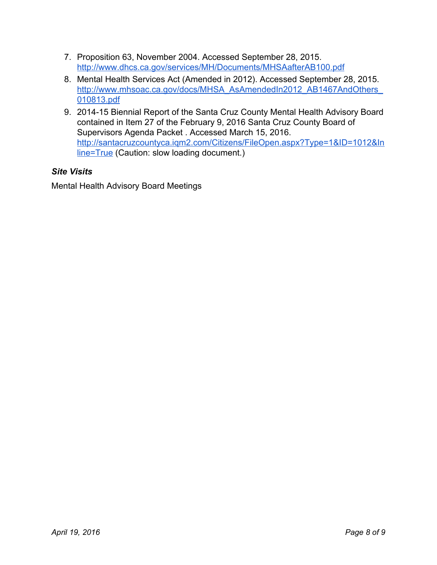- 7. Proposition 63, November 2004. Accessed September 28, 2015. <http://www.dhcs.ca.gov/services/MH/Documents/MHSAafterAB100.pdf>
- 8. Mental Health Services Act (Amended in 2012). Accessed September 28, 2015. [http://www.mhsoac.ca.gov/docs/MHSA\\_AsAmendedIn2012\\_AB1467AndOthers\\_](http://www.mhsoac.ca.gov/docs/MHSA_AsAmendedIn2012_AB1467AndOthers_010813.pdf) [010813.pdf](http://www.mhsoac.ca.gov/docs/MHSA_AsAmendedIn2012_AB1467AndOthers_010813.pdf)
- 9. 2014-15 Biennial Report of the Santa Cruz County Mental Health Advisory Board contained in Item 27 of the February 9, 2016 Santa Cruz County Board of Supervisors Agenda Packet . Accessed March 15, 2016. [http://santacruzcountyca.iqm2.com/Citizens/FileOpen.aspx?Type=1&ID=1012&In](http://santacruzcountyca.iqm2.com/Citizens/FileOpen.aspx?Type=1&ID=1012&Inline=True) [line=True](http://santacruzcountyca.iqm2.com/Citizens/FileOpen.aspx?Type=1&ID=1012&Inline=True) (Caution: slow loading document.)

### *Site Visits*

Mental Health Advisory Board Meetings